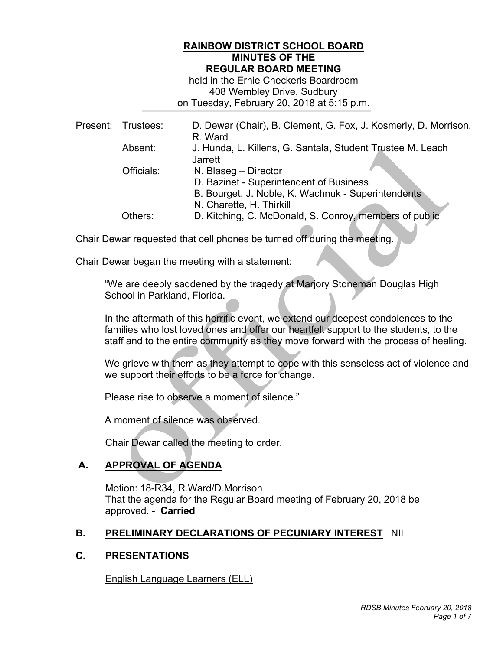### **RAINBOW DISTRICT SCHOOL BOARD MINUTES OF THE REGULAR BOARD MEETING**

 408 Wembley Drive, Sudbury on Tuesday, February 20, 2018 at 5:15 p.m. held in the Ernie Checkeris Boardroom

|  | Present: Trustees: | D. Dewar (Chair), B. Clement, G. Fox, J. Kosmerly, D. Morrison,<br>R. Ward                                            |
|--|--------------------|-----------------------------------------------------------------------------------------------------------------------|
|  | Absent:            | J. Hunda, L. Killens, G. Santala, Student Trustee M. Leach<br><b>Jarrett</b>                                          |
|  | Officials:         | N. Blaseg - Director<br>D. Bazinet - Superintendent of Business<br>B. Bourget, J. Noble, K. Wachnuk - Superintendents |
|  | Others:            | N. Charette, H. Thirkill<br>D. Kitching, C. McDonald, S. Conroy, members of public                                    |

Chair Dewar requested that cell phones be turned off during the meeting.

Chair Dewar began the meeting with a statement:

 "We are deeply saddened by the tragedy at Marjory Stoneman Douglas High School in Parkland, Florida.

 In the aftermath of this horrific event, we extend our deepest condolences to the families who lost loved ones and offer our heartfelt support to the students, to the staff and to the entire community as they move forward with the process of healing.

 We grieve with them as they attempt to cope with this senseless act of violence and we support their efforts to be a force for change.

Please rise to observe a moment of silence."

A moment of silence was observed.

Chair Dewar called the meeting to order.

# **A. APPROVAL OF AGENDA**

 Motion: 18-R34, R.Ward/D.Morrison approved. - **Carried**  That the agenda for the Regular Board meeting of February 20, 2018 be

## **B. PRELIMINARY DECLARATIONS OF PECUNIARY INTEREST** NIL

#### **C. PRESENTATIONS**

English Language Learners (ELL)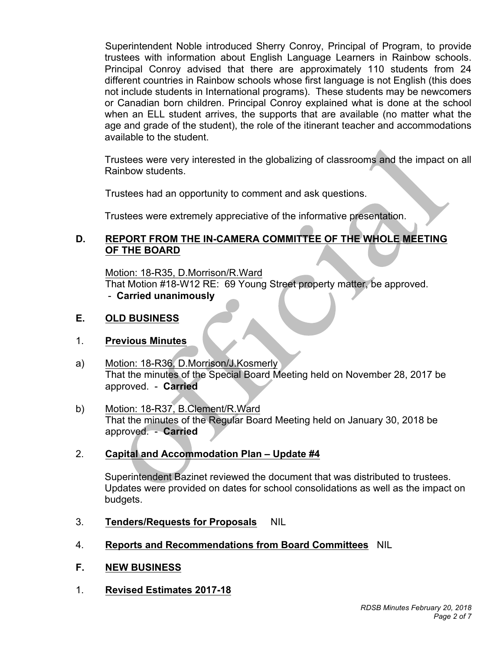trustees with information about English Language Learners in Rainbow schools. Principal Conroy advised that there are approximately 110 students from 24 different countries in Rainbow schools whose first language is not English (this does not include students in International programs). These students may be newcomers or Canadian born children. Principal Conroy explained what is done at the school when an ELL student arrives, the supports that are available (no matter what the age and grade of the student), the role of the itinerant teacher and accommodations available to the student. Superintendent Noble introduced Sherry Conroy, Principal of Program, to provide

 Trustees were very interested in the globalizing of classrooms and the impact on all Rainbow students.

Trustees had an opportunity to comment and ask questions.

Trustees were extremely appreciative of the informative presentation.

## **D. REPORT FROM THE IN-CAMERA COMMITTEE OF THE WHOLE MEETING OF THE BOARD**

 That Motion #18-W12 RE: 69 Young Street property matter, be approved. - **Carried unanimously**  Motion: 18-R35, D.Morrison/R.Ward

# **E. OLD BUSINESS**

## 1. **Previous Minutes**

- a) Motion: 18-R36, D.Morrison/J.Kosmerly That the minutes of the Special Board Meeting held on November 28, 2017 be approved. - **Carried**
- That the minutes of the Regular Board Meeting held on January 30, 2018 be approved. - **Carried**  b) Motion: 18-R37, B.Clement/R.Ward

## 2. **Capital and Accommodation Plan – Update #4**

 Superintendent Bazinet reviewed the document that was distributed to trustees. Updates were provided on dates for school consolidations as well as the impact on budgets.

- 3. **Tenders/Requests for Proposals** NIL
- 4. **Reports and Recommendations from Board Committees** NIL
- $F_{\rm{a}}$ **F. NEW BUSINESS**
- 1. **Revised Estimates 2017-18**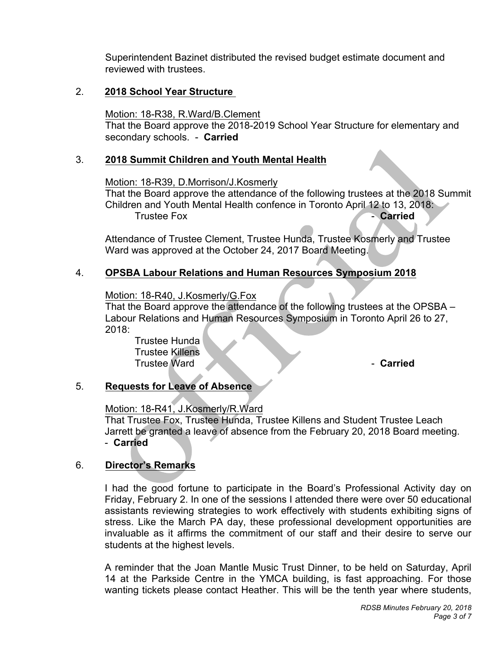Superintendent Bazinet distributed the revised budget estimate document and reviewed with trustees.

### 2. **2018 School Year Structure**

Motion: 18-R38, R.Ward/B.Clement

 secondary schools. - **Carried**  That the Board approve the 2018-2019 School Year Structure for elementary and

## 3. **2018 Summit Children and Youth Mental Health**

Motion: 18-R39, D.Morrison/J.Kosmerly

 Children and Youth Mental Health confence in Toronto April 12 to 13, 2018: That the Board approve the attendance of the following trustees at the 2018 Summit Trustee Fox **Carried Carried** 

 Attendance of Trustee Clement, Trustee Hunda, Trustee Kosmerly and Trustee Ward was approved at the October 24, 2017 Board Meeting.

# 4. **OPSBA Labour Relations and Human Resources Symposium 2018**

Motion: 18-R40, J.Kosmerly/G.Fox

 Labour Relations and Human Resources Symposium in Toronto April 26 to 27, That the Board approve the attendance of the following trustees at the OPSBA – 2018:

Trustee Hunda Trustee Killens Trustee Ward **Carried** - **Carried** 

# 5. **Requests for Leave of Absence**

# Motion: 18-R41, J.Kosmerly/R.Ward

 That Trustee Fox, Trustee Hunda, Trustee Killens and Student Trustee Leach Jarrett be granted a leave of absence from the February 20, 2018 Board meeting. - **Carried** 

# 6. **Director's Remarks**

 I had the good fortune to participate in the Board's Professional Activity day on Friday, February 2. In one of the sessions I attended there were over 50 educational assistants reviewing strategies to work effectively with students exhibiting signs of stress. Like the March PA day, these professional development opportunities are invaluable as it affirms the commitment of our staff and their desire to serve our students at the highest levels.

 A reminder that the Joan Mantle Music Trust Dinner, to be held on Saturday, April 14 at the Parkside Centre in the YMCA building, is fast approaching. For those wanting tickets please contact Heather. This will be the tenth year where students,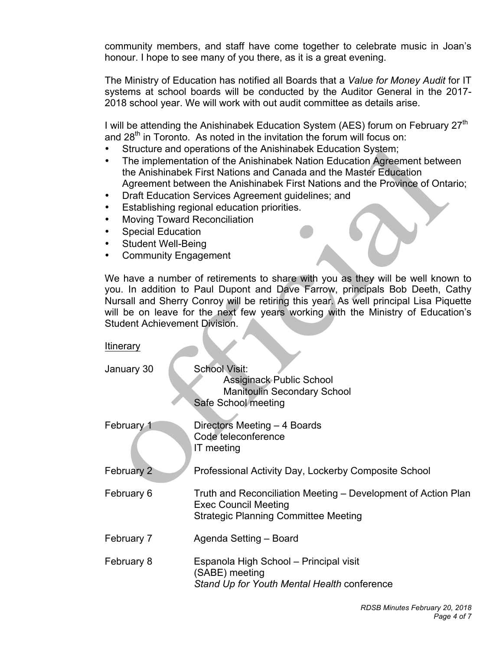community members, and staff have come together to celebrate music in Joan's honour. I hope to see many of you there, as it is a great evening.

 The Ministry of Education has notified all Boards that a *Value for Money Audit* for IT systems at school boards will be conducted by the Auditor General in the 2017- 2018 school year. We will work with out audit committee as details arise.

I will be attending the Anishinabek Education System (AES) forum on February 27<sup>th</sup> and 28<sup>th</sup> in Toronto. As noted in the invitation the forum will focus on:

- Structure and operations of the Anishinabek Education System;
- the Anishinabek First Nations and Canada and the Master Education Agreement between the Anishinabek First Nations and the Province of Ontario; • The implementation of the Anishinabek Nation Education Agreement between
- Draft Education Services Agreement guidelines; and
- • Establishing regional education priorities.
- **Moving Toward Reconciliation**
- **Special Education**
- **Student Well-Being**
- Community Engagement

 We have a number of retirements to share with you as they will be well known to you. In addition to Paul Dupont and Dave Farrow, principals Bob Deeth, Cathy Nursall and Sherry Conroy will be retiring this year. As well principal Lisa Piquette will be on leave for the next few years working with the Ministry of Education's Student Achievement Division.

January 30 School Visit: j February 1 February 2 February 6 February 7 February 8 **Itinerary** Assiginack Public School Manitoulin Secondary School Safe School meeting Directors Meeting – 4 Boards Code teleconference IT meeting Professional Activity Day, Lockerby Composite School Truth and Reconciliation Meeting – Development of Action Plan Exec Council Meeting Strategic Planning Committee Meeting Agenda Setting – Board Espanola High School – Principal visit (SABE) meeting *Stand Up for Youth Mental Health* conference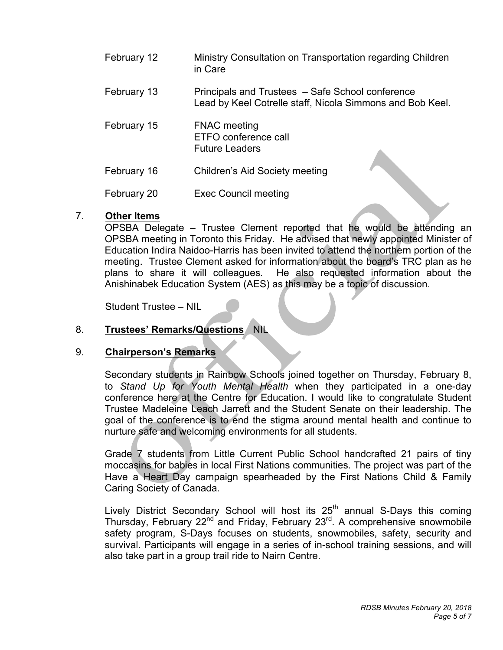| February 12 | Ministry Consultation on Transportation regarding Children<br>in Care                                         |
|-------------|---------------------------------------------------------------------------------------------------------------|
| February 13 | Principals and Trustees - Safe School conference<br>Lead by Keel Cotrelle staff, Nicola Simmons and Bob Keel. |
| February 15 | <b>FNAC</b> meeting<br>ETFO conference call<br><b>Future Leaders</b>                                          |
| February 16 | <b>Children's Aid Society meeting</b>                                                                         |
| February 20 | <b>Exec Council meeting</b>                                                                                   |

#### 7. **Other Items**

 OPSBA Delegate – Trustee Clement reported that he would be attending an OPSBA meeting in Toronto this Friday. He advised that newly appointed Minister of Education Indira Naidoo-Harris has been invited to attend the northern portion of the meeting. Trustee Clement asked for information about the board's TRC plan as he plans to share it will colleagues. Anishinabek Education System (AES) as this may be a topic of discussion. He also requested information about the

Student Trustee – NIL

#### 8. 8. **Trustees' Remarks/Questions** NIL

#### 9. **Chairperson's Remarks**

 Secondary students in Rainbow Schools joined together on Thursday, February 8,  to *Stand Up for Youth Mental Health* when they participated in a one-day conference here at the Centre for Education. I would like to congratulate Student Trustee Madeleine Leach Jarrett and the Student Senate on their leadership. The goal of the conference is to end the stigma around mental health and continue to nurture safe and welcoming environments for all students.

 Grade 7 students from Little Current Public School handcrafted 21 pairs of tiny moccasins for babies in local First Nations communities. The project was part of the Have a Heart Day campaign spearheaded by the First Nations Child & Family Caring Society of Canada.

Lively District Secondary School will host its 25<sup>th</sup> annual S-Days this coming Thursday, February 22<sup>nd</sup> and Friday, February 23<sup>rd</sup>. A comprehensive snowmobile safety program, S-Days focuses on students, snowmobiles, safety, security and survival. Participants will engage in a series of in-school training sessions, and will also take part in a group trail ride to Nairn Centre.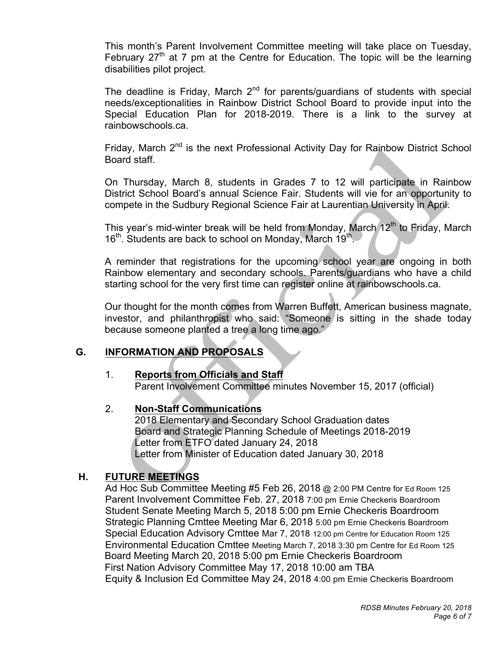This month's Parent Involvement Committee meeting will take place on Tuesday, February  $27<sup>th</sup>$  at 7 pm at the Centre for Education. The topic will be the learning disabilities pilot project.

The deadline is Friday, March  $2<sup>nd</sup>$  for parents/guardians of students with special needs/exceptionalities in Rainbow District School Board to provide input into the Special Education Plan for 2018-2019. There is a link to the survey at rainbowschools.ca.

rainbowschools.ca.<br>Friday, March 2<sup>nd</sup> is the next Professional Activity Day for Rainbow District School Board staff.

 On Thursday, March 8, students in Grades 7 to 12 will participate in Rainbow District School Board's annual Science Fair. Students will vie for an opportunity to compete in the Sudbury Regional Science Fair at Laurentian University in April.

This year's mid-winter break will be held from Monday, March 12<sup>th</sup> to Friday, March  $16<sup>th</sup>$ . Students are back to school on Monday, March  $19<sup>th</sup>$ .

 A reminder that registrations for the upcoming school year are ongoing in both Rainbow elementary and secondary schools. Parents/guardians who have a child starting school for the very first time can register online at rainbowschools.ca.

 Our thought for the month comes from Warren Buffett, American business magnate, investor, and philanthropist who said: "Someone is sitting in the shade today because someone planted a tree a long time ago."

## **G. INFORMATION AND PROPOSALS**

## 1. **Reports from Officials and Staff**

Parent Involvement Committee minutes November 15, 2017 (official)

#### **Non-Staff Communications**

 2018 Elementary and Secondary School Graduation dates Board and Strategic Planning Schedule of Meetings 2018-2019 Letter from ETFO dated January 24, 2018 Letter from Minister of Education dated January 30, 2018

## **H. FUTURE MEETINGS**

 Ad Hoc Sub Committee Meeting #5 Feb 26, 2018 @ 2:00 PM Centre for Ed Room 125 Parent Involvement Committee Feb. 27, 2018 7:00 pm Ernie Checkeris Boardroom Student Senate Meeting March 5, 2018 5:00 pm Ernie Checkeris Boardroom Strategic Planning Cmttee Meeting Mar 6, 2018 5:00 pm Ernie Checkeris Boardroom Special Education Advisory Cmttee Mar 7, 2018 12:00 pm Centre for Education Room 125 Environmental Education Cmttee Meeting March 7, 2018 3:30 pm Centre for Ed Room 125 Board Meeting March 20, 2018 5:00 pm Ernie Checkeris Boardroom Equity & Inclusion Ed Committee May 24, 2018 4:00 pm Ernie Checkeris Boardroom First Nation Advisory Committee May 17, 2018 10:00 am TBA